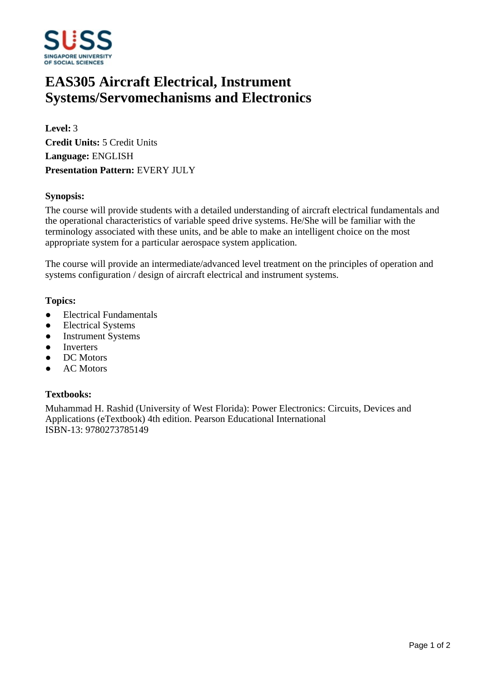

# **EAS305 Aircraft Electrical, Instrument Systems/Servomechanisms and Electronics**

**Level:** 3 **Credit Units:** 5 Credit Units **Language:** ENGLISH **Presentation Pattern:** EVERY JULY

# **Synopsis:**

The course will provide students with a detailed understanding of aircraft electrical fundamentals and the operational characteristics of variable speed drive systems. He/She will be familiar with the terminology associated with these units, and be able to make an intelligent choice on the most appropriate system for a particular aerospace system application.

The course will provide an intermediate/advanced level treatment on the principles of operation and systems configuration / design of aircraft electrical and instrument systems.

### **Topics:**

- Electrical Fundamentals
- Electrical Systems
- Instrument Systems
- Inverters
- DC Motors
- **AC Motors**

# **Textbooks:**

Muhammad H. Rashid (University of West Florida): Power Electronics: Circuits, Devices and Applications (eTextbook) 4th edition. Pearson Educational International ISBN-13: 9780273785149